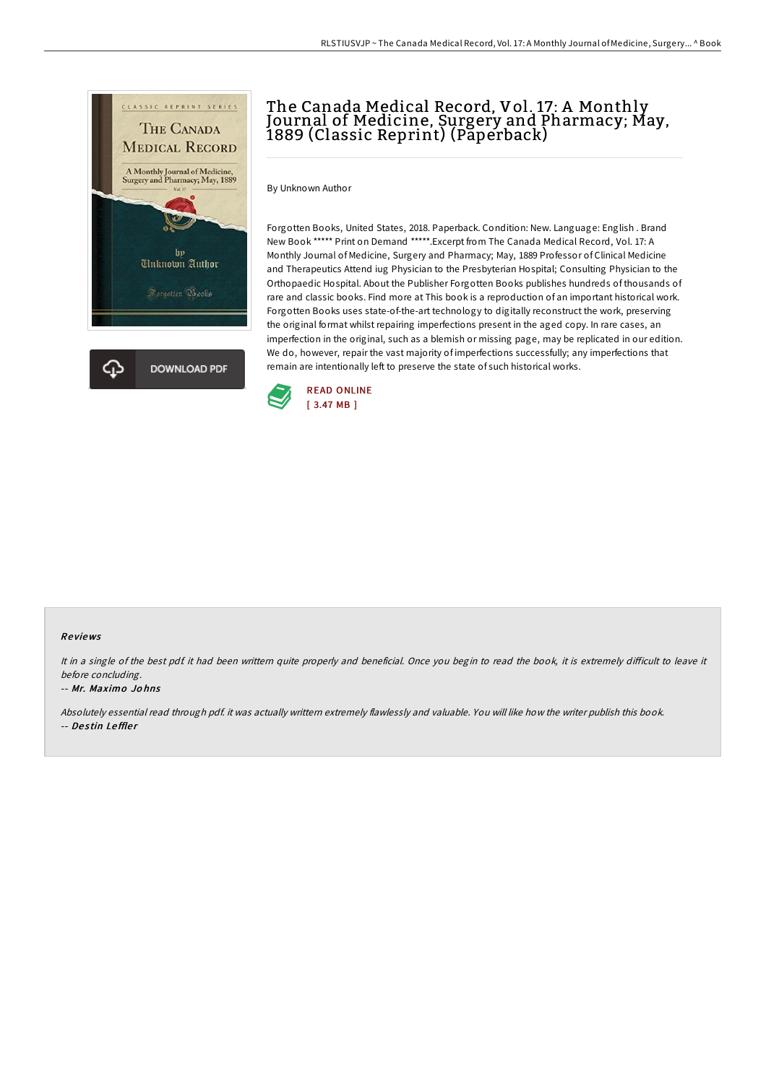

# The Canada Medical Record, Vol. 17: A Monthly Journal of Medicine, Surgery and Pharmacy; May, 1889 (Classic Reprint) (Paperback)

By Unknown Author

Forgotten Books, United States, 2018. Paperback. Condition: New. Language: English . Brand New Book \*\*\*\*\* Print on Demand \*\*\*\*\*.Excerpt from The Canada Medical Record, Vol. 17: A Monthly Journal of Medicine, Surgery and Pharmacy; May, 1889 Professor of Clinical Medicine and Therapeutics Attend iug Physician to the Presbyterian Hospital; Consulting Physician to the Orthopaedic Hospital. About the Publisher Forgotten Books publishes hundreds of thousands of rare and classic books. Find more at This book is a reproduction of an important historical work. Forgotten Books uses state-of-the-art technology to digitally reconstruct the work, preserving the original format whilst repairing imperfections present in the aged copy. In rare cases, an imperfection in the original, such as a blemish or missing page, may be replicated in our edition. We do, however, repair the vast majority of imperfections successfully; any imperfections that remain are intentionally left to preserve the state of such historical works.



#### Re views

It in a single of the best pdf. it had been writtern quite properly and beneficial. Once you begin to read the book, it is extremely difficult to leave it before concluding.

#### -- Mr. Maximo Jo hns

Absolutely essential read through pdf. it was actually writtern extremely flawlessly and valuable. You will like how the writer publish this book. -- Destin Leffler